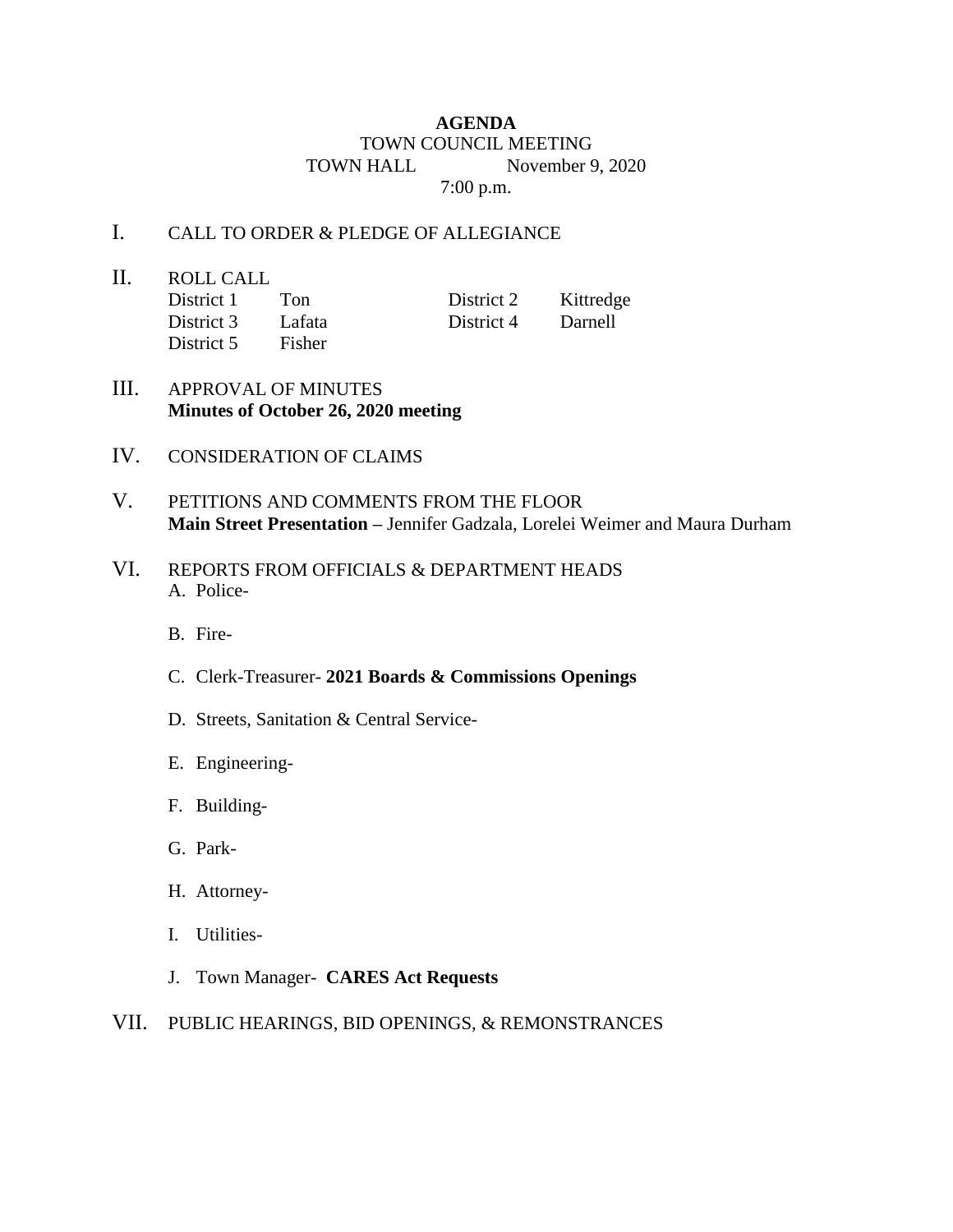## **AGENDA** TOWN COUNCIL MEETING TOWN HALL November 9, 2020 7:00 p.m.

## I. CALL TO ORDER & PLEDGE OF ALLEGIANCE

II. ROLL CALL District 1 Ton District 2 Kittredge District 3 Lafata District 4 Darnell District 5 Fisher

- III. APPROVAL OF MINUTES **Minutes of October 26, 2020 meeting**
- IV. CONSIDERATION OF CLAIMS
- V. PETITIONS AND COMMENTS FROM THE FLOOR **Main Street Presentation –** Jennifer Gadzala, Lorelei Weimer and Maura Durham
- VI. REPORTS FROM OFFICIALS & DEPARTMENT HEADS A. Police-
	- B. Fire-
	- C. Clerk-Treasurer- **2021 Boards & Commissions Openings**
	- D. Streets, Sanitation & Central Service-
	- E. Engineering-
	- F. Building-
	- G. Park-
	- H. Attorney-
	- I. Utilities-
	- J. Town Manager- **CARES Act Requests**
- VII. PUBLIC HEARINGS, BID OPENINGS, & REMONSTRANCES